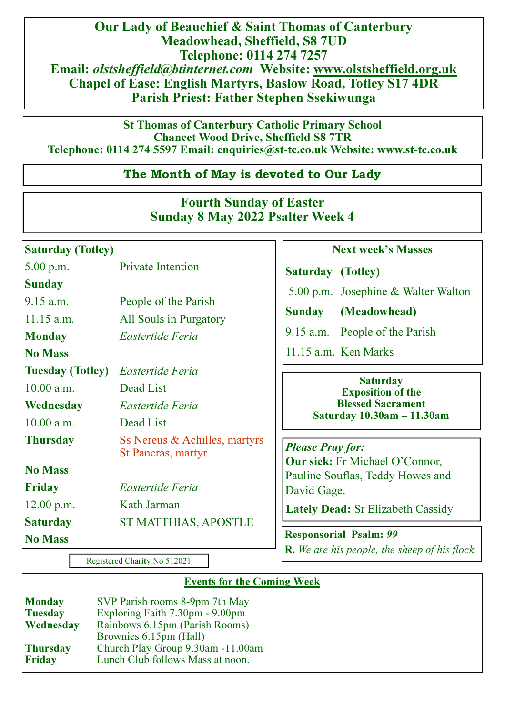Our Lady of Beauchief & Saint Thomas of Canterbury Meadowhead, Sheffield, S8 7UD Telephone: 0114 274 7257 Email: olstsheffield@btinternet.com Website: www.olstsheffield.org.uk Chapel of Ease: English Martyrs, Baslow Road, Totley S17 4DR Parish Priest: Father Stephen Ssekiwunga

St Thomas of Canterbury Catholic Primary School Chancet Wood Drive, Sheffield S8 7TR Telephone: 0114 274 5597 Email: enquiries@st**-**tc.co.uk Website: www.st**-**tc.co.uk

## The Month of May is devoted to Our Lady

# Fourth Sunday of Easter Sunday 8 May 2022 Psalter Week 4

## Saturday (Totley)

**Sunday** 

Next week's Masses

Saturday (Totley)

5.00 p.m. Josephine & Walter Walton

Sunday (Meadowhead)

9.15 a.m. People of the Parish

11.15 a.m. Ken Marks

#### **Saturday** Exposition of the Blessed Sacrament Saturday 10.30am **–** 11.30am

Please Pray for: Our sick: Fr Michael O'Connor, Pauline Souflas, Teddy Howes and David Gage.

Lately Dead: Sr Elizabeth Cassidy

Responsorial Psalm: 99 **R.** We are his people, the sheep of his flock.

Registered Charity No 512021

## Events for the Coming Week

| SVP Parish rooms 8-9pm 7th May    |
|-----------------------------------|
| Exploring Faith 7.30pm - 9.00pm   |
| Rainbows 6.15pm (Parish Rooms)    |
| Brownies 6.15pm (Hall)            |
| Church Play Group 9.30am -11.00am |
| Lunch Club follows Mass at noon.  |
|                                   |

# 5.00 p.m. Private Intention

9.15 a.m. People of the Parish 11.15 a.m. All Souls in Purgatory Monday **Eastertide Feria** No Mass Tuesday (Totley) Eastertide Feria 10.00 a.m. Dead List Wednesday Eastertide Feria 10.00 a.m. Dead List Thursday Ss Nereus & Achilles, martyrs St Pancras, martyr No Mass Friday Eastertide Feria 12.00 p.m. Kath Jarman Saturday ST MATTHIAS, APOSTLE No Mass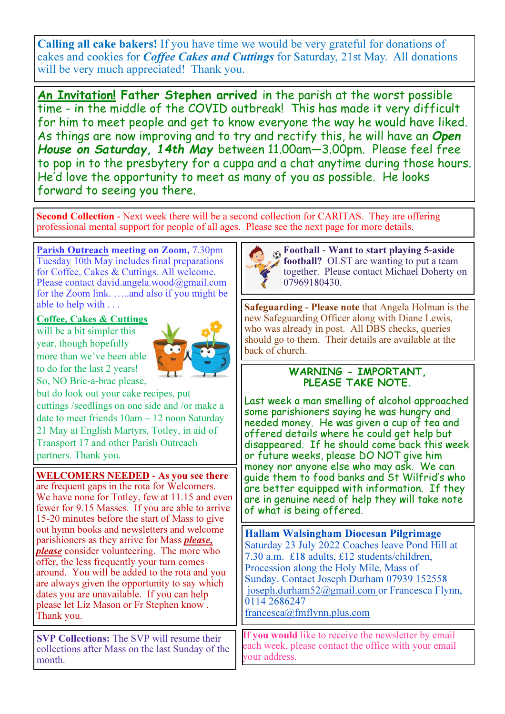Calling all cake bakers! If you have time we would be very grateful for donations of cakes and cookies for *Coffee Cakes and Cuttings* for Saturday, 21st May. All donations will be very much appreciated! Thank you.

An Invitation! Father Stephen arrived in the parish at the worst possible time - in the middle of the COVID outbreak! This has made it very difficult for him to meet people and get to know everyone the way he would have liked. As things are now improving and to try and rectify this, he will have an Open House on Saturday, 14th May between 11.00am—3.00pm. Please feel free to pop in to the presbytery for a cuppa and a chat anytime during those hours. He'd love the opportunity to meet as many of you as possible. He looks forward to seeing you there.

Second Collection - Next week there will be a second collection for CARITAS. They are offering professional mental support for people of all ages. Please see the next page for more details.

Parish Outreach meeting on Zoom, 7.30pm Tuesday 10th May includes final preparations for Coffee, Cakes & Cuttings. All welcome. Please contact david.angela.wood@gmail.com for the Zoom link. …..and also if you might be able to help with . . .

#### Coffee, Cakes & Cuttings

will be a bit simpler this year, though hopefully more than we've been able to do for the last 2 years! So, NO Bric-a-brac please,



but do look out your cake recipes, put cuttings /seedlings on one side and /or make a date to meet friends 10am – 12 noon Saturday 21 May at English Martyrs, Totley, in aid of Transport 17 and other Parish Outreach partners. Thank you.

## WELCOMERS NEEDED **-** As you see there

are frequent gaps in the rota for Welcomers. We have none for Totley, few at 11.15 and even fewer for 9.15 Masses. If you are able to arrive 15-20 minutes before the start of Mass to give out hymn books and newsletters and welcome parishioners as they arrive for Mass please, **please** consider volunteering. The more who offer, the less frequently your turn comes around. You will be added to the rota and you are always given the opportunity to say which dates you are unavailable. If you can help please let Liz Mason or Fr Stephen know . Thank you.

SVP Collections: The SVP will resume their collections after Mass on the last Sunday of the month.



Football **-** Want to start playing 5**-**aside **football?** OLST are wanting to put a team together. Please contact Michael Doherty on 07969180430.

Safeguarding **-** Please note that Angela Holman is the new Safeguarding Officer along with Diane Lewis, who was already in post. All DBS checks, queries should go to them. Their details are available at the back of church.

## WARNING - IMPORTANT, PLEASE TAKE NOTE.

Last week a man smelling of alcohol approached some parishioners saying he was hungry and needed money. He was given a cup of tea and offered details where he could get help but disappeared. If he should come back this week or future weeks, please DO NOT give him money nor anyone else who may ask. We can guide them to food banks and St Wilfrid's who are better equipped with information. If they are in genuine need of help they will take note of what is being offered.

Hallam Walsingham Diocesan Pilgrimage Saturday 23 July 2022 Coaches leave Pond Hill at 7.30 a.m. £18 adults, £12 students/children, Procession along the Holy Mile, Mass of Sunday. Contact Joseph Durham 07939 152558 joseph.durham52@gmail.com or Francesca Flynn, 0114 2686247

francesca@fmflynn.plus.com

If you would like to receive the newsletter by email each week, please contact the office with your email our address.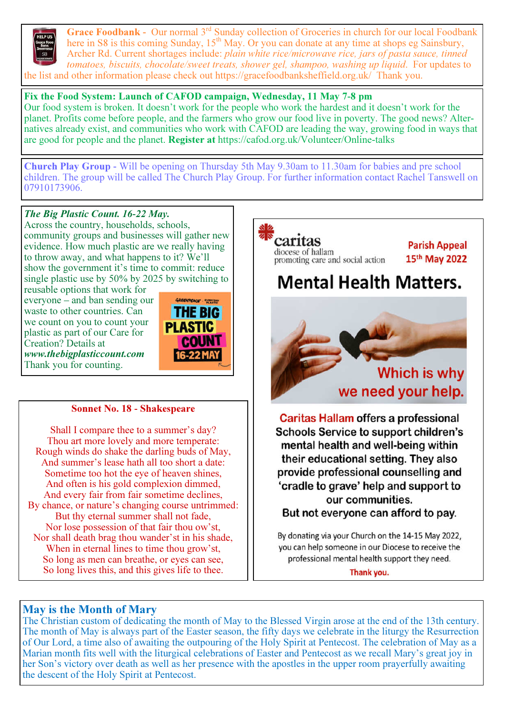

Grace Foodbank - Our normal 3<sup>rd</sup> Sunday collection of Groceries in church for our local Foodbank here in S8 is this coming Sunday,  $15<sup>th</sup>$  May. Or you can donate at any time at shops eg Sainsbury, Archer Rd. Current shortages include: plain white rice/microwave rice, jars of pasta sauce, tinned tomatoes, biscuits, chocolate/sweet treats, shower gel, shampoo, washing up liquid. For updates to the list and other information please check out https://gracefoodbanksheffield.org.uk/ Thank you.

#### Fix the Food System: Launch of CAFOD campaign, Wednesday, 11 May 7**-**8 pm

**THE BIG PLASTIC** 

> **COUNT** 16-22 MAY

Our food system is broken. It doesn't work for the people who work the hardest and it doesn't work for the planet. Profits come before people, and the farmers who grow our food live in poverty. The good news? Alternatives already exist, and communities who work with CAFOD are leading the way, growing food in ways that are good for people and the planet. Register at https://cafod.org.uk/Volunteer/Online-talks

Church Play Group **-** Will be opening on Thursday 5th May 9.30am to 11.30am for babies and pre school children. The group will be called The Church Play Group. For further information contact Rachel Tanswell on 07910173906.

#### The Big Plastic Count. 16*-*22 May.

Across the country, households, schools, community groups and businesses will gather new evidence. How much plastic are we really having to throw away, and what happens to it? We'll show the government it's time to commit: reduce single plastic use by 50% by 2025 by switching to

reusable options that work for everyone – and ban sending our waste to other countries. Can we count on you to count your plastic as part of our Care for Creation? Details at www.thebigplasticcount.com Thank you for counting.



Shall I compare thee to a summer's day? Thou art more lovely and more temperate: Rough winds do shake the darling buds of May, And summer's lease hath all too short a date: Sometime too hot the eye of heaven shines, And often is his gold complexion dimmed, And every fair from fair sometime declines, By chance, or nature's changing course untrimmed: But thy eternal summer shall not fade, Nor lose possession of that fair thou ow'st, Nor shall death brag thou wander'st in his shade, When in eternal lines to time thou grow'st, So long as men can breathe, or eyes can see, So long lives this, and this gives life to thee.



## May is the Month of Mary

The Christian custom of dedicating the month of May to the Blessed Virgin arose at the end of the 13th century. The month of May is always part of the Easter season, the fifty days we celebrate in the liturgy the Resurrection of Our Lord, a time also of awaiting the outpouring of the Holy Spirit at Pentecost. The celebration of May as a Marian month fits well with the liturgical celebrations of Easter and Pentecost as we recall Mary's great joy in her Son's victory over death as well as her presence with the apostles in the upper room prayerfully awaiting the descent of the Holy Spirit at Pentecost.